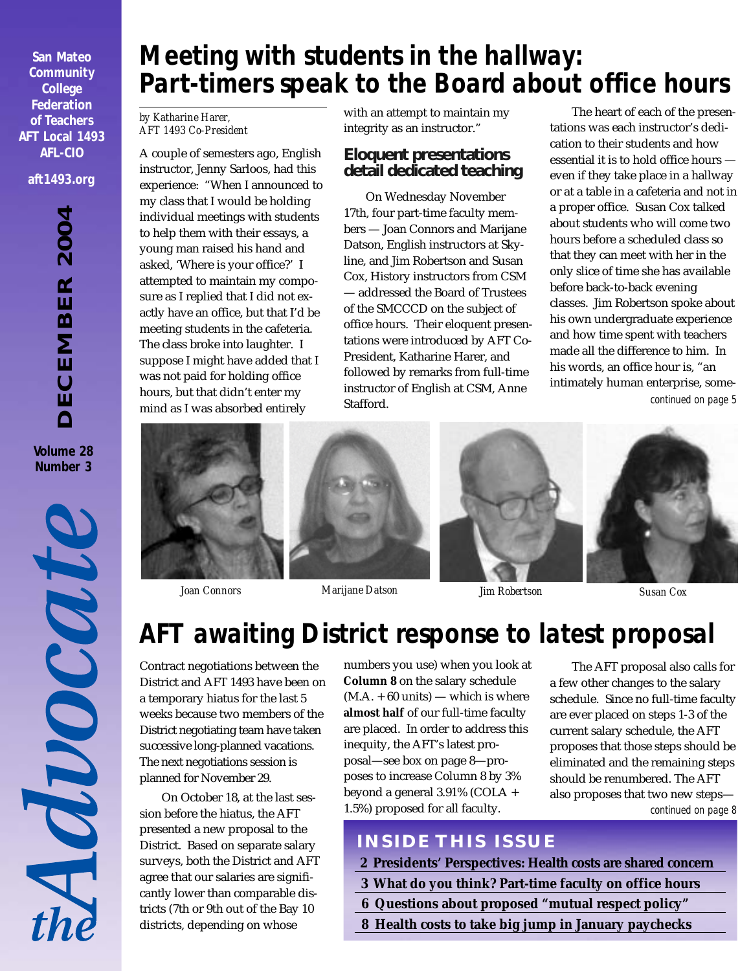**San Mateo Community College Federation of Teachers AFT Local 1493 AFL-CIO aft1493.org**

> DECEMBER 2004 *DECEMBER 2004* **Volume 28 Number 3**



# *Meeting with students in the hallway: Part-timers speak to the Board about office hours*

#### *by Katharine Harer, AFT 1493 Co-President*

A couple of semesters ago, English instructor, Jenny Sarloos, had this experience: "When I announced to my class that I would be holding individual meetings with students to help them with their essays, a young man raised his hand and asked, 'Where is your office?' I attempted to maintain my composure as I replied that I did not exactly have an office, but that I'd be meeting students in the cafeteria. The class broke into laughter. I suppose I might have added that I was not paid for holding office hours, but that didn't enter my mind as I was absorbed entirely

with an attempt to maintain my integrity as an instructor."

#### **Eloquent presentations detail dedicated teaching**

On Wednesday November 17th, four part-time faculty members — Joan Connors and Marijane Datson, English instructors at Skyline, and Jim Robertson and Susan Cox, History instructors from CSM — addressed the Board of Trustees of the SMCCCD on the subject of office hours. Their eloquent presentations were introduced by AFT Co-President, Katharine Harer, and followed by remarks from full-time instructor of English at CSM, Anne Stafford.

*continued on page 5* The heart of each of the presentations was each instructor's dedication to their students and how essential it is to hold office hours even if they take place in a hallway or at a table in a cafeteria and not in a proper office. Susan Cox talked about students who will come two hours before a scheduled class so that they can meet with her in the only slice of time she has available before back-to-back evening classes. Jim Robertson spoke about his own undergraduate experience and how time spent with teachers made all the difference to him. In his words, an office hour is, "an intimately human enterprise, some-







# *AFT awaiting District response to latest proposal*

Contract negotiations between the District and AFT 1493 have been on a temporary hiatus for the last 5 weeks because two members of the District negotiating team have taken successive long-planned vacations. The next negotiations session is planned for November 29.

On October 18, at the last session before the hiatus, the AFT presented a new proposal to the District. Based on separate salary surveys, both the District and AFT agree that our salaries are significantly lower than comparable districts (7th or 9th out of the Bay 10 districts, depending on whose

numbers you use) when you look at **Column 8** on the salary schedule  $(M.A. + 60 \text{ units})$  — which is where **almost half** of our full-time faculty are placed. In order to address this inequity, the AFT's latest proposal—see box on page 8—proposes to increase Column 8 by 3% beyond a general 3.91% (COLA + 1.5%) proposed for all faculty.

*continued on page 8* The AFT proposal also calls for a few other changes to the salary schedule. Since no full-time faculty are ever placed on steps 1-3 of the current salary schedule, the AFT proposes that those steps should be eliminated and the remaining steps should be renumbered. The AFT also proposes that two new steps—

## **INSIDE THIS ISSUE**

- **2 Presidents' Perspectives: Health costs are shared concern**
- **3 What do you think? Part-time faculty on office hours**
- **6 Questions about proposed "mutual respect policy"**
- **8 Health costs to take big jump in January paychecks**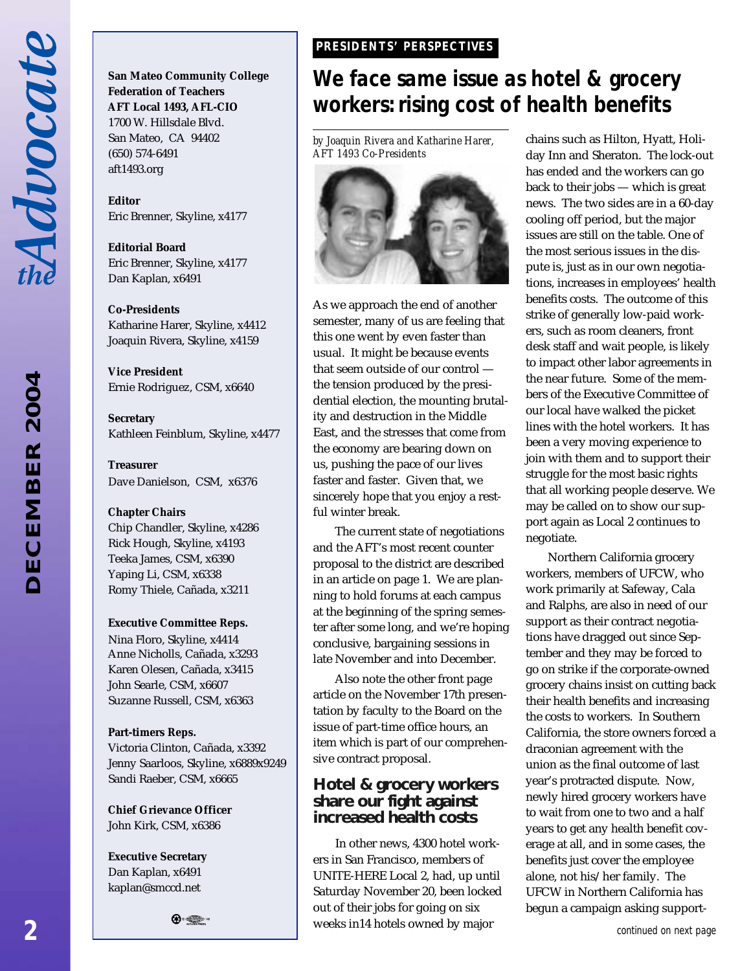Advocat

2004 *DECEMBER 2004* **ECEMBER**  **San Mateo Community College Federation of Teachers AFT Local 1493, AFL-CIO** 1700 W. Hillsdale Blvd. San Mateo, CA 94402 (650) 574-6491 aft1493.org

**Editor** Eric Brenner, Skyline, x4177

**Editorial Board** Eric Brenner, Skyline, x4177 Dan Kaplan, x6491

**Co-Presidents**

Katharine Harer, Skyline, x4412 Joaquin Rivera, Skyline, x4159

**Vice President** Ernie Rodriguez, CSM, x6640

**Secretary** Kathleen Feinblum, Skyline, x4477

**Treasurer** Dave Danielson, CSM, x6376

#### **Chapter Chairs**

Chip Chandler, Skyline, x4286 Rick Hough, Skyline, x4193 Teeka James, CSM, x6390 Yaping Li, CSM, x6338 Romy Thiele, Cañada, x3211

#### **Executive Committee Reps.**

Nina Floro, Skyline, x4414 Anne Nicholls, Cañada, x3293 Karen Olesen, Cañada, x3415 John Searle, CSM, x6607 Suzanne Russell, CSM, x6363

#### **Part-timers Reps.**

Victoria Clinton, Cañada, x3392 Jenny Saarloos, Skyline, x6889x9249 Sandi Raeber, CSM, x6665

**Chief Grievance Officer** John Kirk, CSM, x6386

**Executive Secretary** Dan Kaplan, x6491 kaplan@smccd.net

 $\bigoplus$  .  $\bigoplus$  .

#### *PRESIDENTS' PERSPECTIVES PRESIDENTS' PERSPECTIVES*

# *We face same issue as hotel & grocery workers: rising cost of health benefits*

*by Joaquin Rivera and Katharine Harer, AFT 1493 Co-Presidents*



As we approach the end of another semester, many of us are feeling that this one went by even faster than usual. It might be because events that seem outside of our control the tension produced by the presidential election, the mounting brutality and destruction in the Middle East, and the stresses that come from the economy are bearing down on us, pushing the pace of our lives faster and faster. Given that, we sincerely hope that you enjoy a restful winter break.

The current state of negotiations and the AFT's most recent counter proposal to the district are described in an article on page 1. We are planning to hold forums at each campus at the beginning of the spring semester after some long, and we're hoping conclusive, bargaining sessions in late November and into December.

Also note the other front page article on the November 17th presentation by faculty to the Board on the issue of part-time office hours, an item which is part of our comprehensive contract proposal.

#### **Hotel & grocery workers share our fight against increased health costs**

In other news, 4300 hotel workers in San Francisco, members of UNITE-HERE Local 2, had, up until Saturday November 20, been locked out of their jobs for going on six weeks in14 hotels owned by major

chains such as Hilton, Hyatt, Holiday Inn and Sheraton. The lock-out has ended and the workers can go back to their jobs — which is great news. The two sides are in a 60-day cooling off period, but the major issues are still on the table. One of the most serious issues in the dispute is, just as in our own negotiations, increases in employees' health benefits costs. The outcome of this strike of generally low-paid workers, such as room cleaners, front desk staff and wait people, is likely to impact other labor agreements in the near future. Some of the members of the Executive Committee of our local have walked the picket lines with the hotel workers. It has been a very moving experience to join with them and to support their struggle for the most basic rights that all working people deserve. We may be called on to show our support again as Local 2 continues to negotiate.

Northern California grocery workers, members of UFCW, who work primarily at Safeway, Cala and Ralphs, are also in need of our support as their contract negotiations have dragged out since September and they may be forced to go on strike if the corporate-owned grocery chains insist on cutting back their health benefits and increasing the costs to workers. In Southern California, the store owners forced a draconian agreement with the union as the final outcome of last year's protracted dispute. Now, newly hired grocery workers have to wait from one to two and a half years to get any health benefit coverage at all, and in some cases, the benefits just cover the employee alone, not his/her family. The UFCW in Northern California has begun a campaign asking support-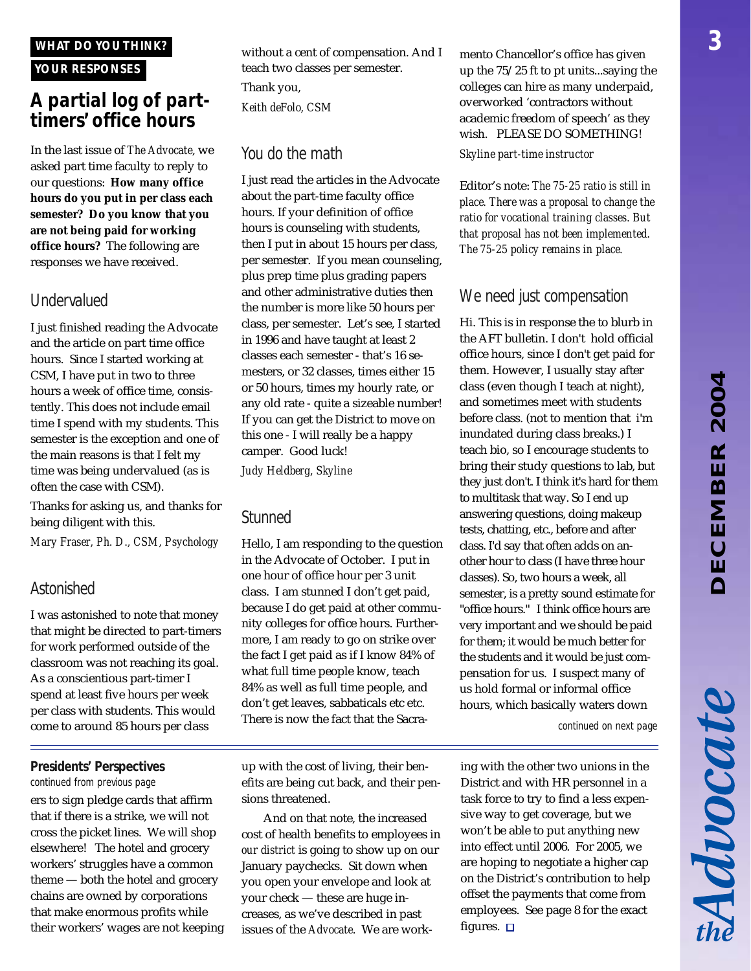Advocate

#### *WHAT DO YOU THINK?*

#### *YOUR RESPONSES*

### *A partial log of parttimers' office hours*

In the last issue of *The Advocate*, we asked part time faculty to reply to our questions: **How many office hours do you put in per class each semester? Do you know that you are not being paid for working office hours?** The following are responses we have received.

#### *Undervalued*

I just finished reading the Advocate and the article on part time office hours. Since I started working at CSM, I have put in two to three hours a week of office time, consistently. This does not include email time I spend with my students. This semester is the exception and one of the main reasons is that I felt my time was being undervalued (as is often the case with CSM).

Thanks for asking us, and thanks for being diligent with this.

*Mary Fraser, Ph. D., CSM, Psychology*

#### *Astonished*

I was astonished to note that money that might be directed to part-timers for work performed outside of the classroom was not reaching its goal. As a conscientious part-timer I spend at least five hours per week per class with students. This would come to around 85 hours per class

#### *Presidents' Perspectives*

*continued from previous page* ers to sign pledge cards that affirm that if there is a strike, we will not cross the picket lines. We will shop elsewhere! The hotel and grocery workers' struggles have a common theme — both the hotel and grocery chains are owned by corporations that make enormous profits while their workers' wages are not keeping without a cent of compensation. And I teach two classes per semester. Thank you, *Keith deFolo, CSM*

#### *You do the math*

I just read the articles in the Advocate about the part-time faculty office hours. If your definition of office hours is counseling with students, then I put in about 15 hours per class, per semester. If you mean counseling, plus prep time plus grading papers and other administrative duties then the number is more like 50 hours per class, per semester. Let's see, I started in 1996 and have taught at least 2 classes each semester - that's 16 semesters, or 32 classes, times either 15 or 50 hours, times my hourly rate, or any old rate - quite a sizeable number! If you can get the District to move on this one - I will really be a happy camper. Good luck!

*Judy Heldberg, Skyline*

#### *Stunned*

Hello, I am responding to the question in the Advocate of October. I put in one hour of office hour per 3 unit class. I am stunned I don't get paid, because I do get paid at other community colleges for office hours. Furthermore, I am ready to go on strike over the fact I get paid as if I know 84% of what full time people know, teach 84% as well as full time people, and don't get leaves, sabbaticals etc etc. There is now the fact that the Sacra-

up with the cost of living, their benefits are being cut back, and their pensions threatened.

And on that note, the increased cost of health benefits to employees in *our district* is going to show up on our January paychecks. Sit down when you open your envelope and look at your check — these are huge increases, as we've described in past issues of the *Advocate*. We are work-

mento Chancellor's office has given up the 75/25 ft to pt units...saying the colleges can hire as many underpaid, overworked 'contractors without academic freedom of speech' as they wish. PLEASE DO SOMETHING! *Skyline part-time instructor*

Editor's note: *The 75-25 ratio is still in place. There was a proposal to change the ratio for vocational training classes. But that proposal has not been implemented. The 75-25 policy remains in place.*

#### *We need just compensation*

Hi. This is in response the to blurb in the AFT bulletin. I don't hold official office hours, since I don't get paid for them. However, I usually stay after class (even though I teach at night), and sometimes meet with students before class. (not to mention that i'm inundated during class breaks.) I teach bio, so I encourage students to bring their study questions to lab, but they just don't. I think it's hard for them to multitask that way. So I end up answering questions, doing makeup tests, chatting, etc., before and after class. I'd say that often adds on another hour to class (I have three hour classes). So, two hours a week, all semester, is a pretty sound estimate for "office hours." I think office hours are very important and we should be paid for them; it would be much better for the students and it would be just compensation for us. I suspect many of us hold formal or informal office hours, which basically waters down

*continued on next page*

ing with the other two unions in the District and with HR personnel in a task force to try to find a less expensive way to get coverage, but we won't be able to put anything new into effect until 2006. For 2005, we are hoping to negotiate a higher cap on the District's contribution to help offset the payments that come from employees. See page 8 for the exact figures.  $\square$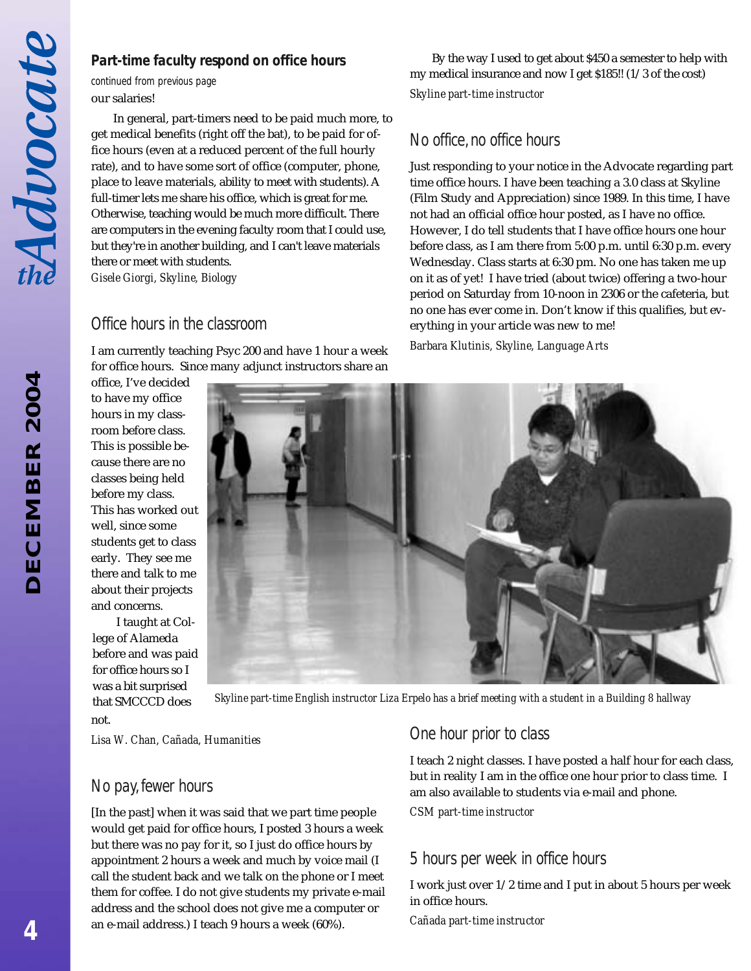*DECEMBER 2004*

**DECEMBER 2004** 

#### **Part-time faculty respond on office hours** By the way I used to get about \$450 a semester to help with

our salaries! *continued from previous page*

In general, part-timers need to be paid much more, to get medical benefits (right off the bat), to be paid for office hours (even at a reduced percent of the full hourly rate), and to have some sort of office (computer, phone, place to leave materials, ability to meet with students). A full-timer lets me share his office, which is great for me. Otherwise, teaching would be much more difficult. There are computers in the evening faculty room that I could use, but they're in another building, and I can't leave materials there or meet with students. *Gisele Giorgi, Skyline, Biology*

#### *Office hours in the classroom*

I am currently teaching Psyc 200 and have 1 hour a week for office hours. Since many adjunct instructors share an

office, I've decided to have my office hours in my classroom before class. This is possible because there are no classes being held before my class. This has worked out well, since some students get to class early. They see me there and talk to me about their projects and concerns.

 I taught at College of Alameda before and was paid for office hours so I was a bit surprised that SMCCCD does not.

*Skyline part-time English instructor Liza Erpelo has a brief meeting with a student in a Building 8 hallway*

*Lisa W. Chan, Cañada, Humanities*

#### *No pay, fewer hours*

[In the past] when it was said that we part time people would get paid for office hours, I posted 3 hours a week but there was no pay for it, so I just do office hours by appointment 2 hours a week and much by voice mail (I call the student back and we talk on the phone or I meet them for coffee. I do not give students my private e-mail address and the school does not give me a computer or an e-mail address.) I teach 9 hours a week (60%).

#### *One hour prior to class*

I teach 2 night classes. I have posted a half hour for each class, but in reality I am in the office one hour prior to class time. I am also available to students via e-mail and phone.

my medical insurance and now I get \$185!! (1/3 of the cost)

Just responding to your notice in the Advocate regarding part time office hours. I have been teaching a 3.0 class at Skyline (Film Study and Appreciation) since 1989. In this time, I have not had an official office hour posted, as I have no office. However, I do tell students that I have office hours one hour before class, as I am there from 5:00 p.m. until 6:30 p.m. every Wednesday. Class starts at 6:30 pm. No one has taken me up on it as of yet! I have tried (about twice) offering a two-hour period on Saturday from 10-noon in 2306 or the cafeteria, but

*Skyline part-time instructor*

*No office, no office hours*

*CSM part-time instructor*

#### *5 hours per week in office hours*

I work just over 1/2 time and I put in about 5 hours per week in office hours.

*Cañada part-time instructor*

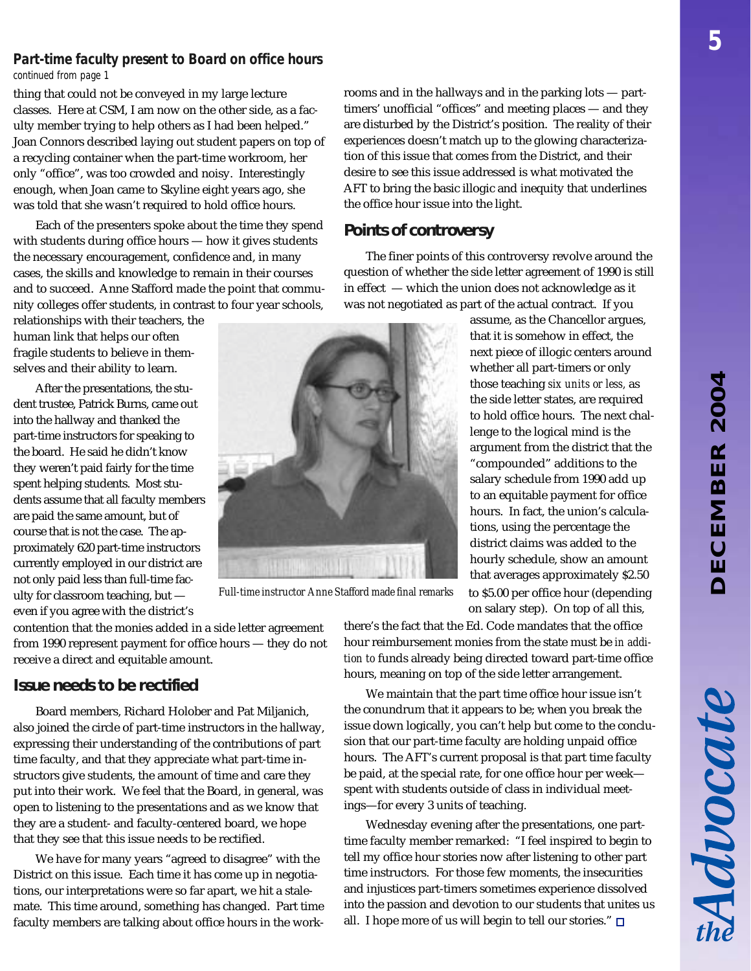#### *Part-time faculty present to Board on office hours*

*continued from page 1*

thing that could not be conveyed in my large lecture classes. Here at CSM, I am now on the other side, as a faculty member trying to help others as I had been helped." Joan Connors described laying out student papers on top of a recycling container when the part-time workroom, her only "office", was too crowded and noisy. Interestingly enough, when Joan came to Skyline eight years ago, she was told that she wasn't required to hold office hours.

Each of the presenters spoke about the time they spend with students during office hours — how it gives students the necessary encouragement, confidence and, in many cases, the skills and knowledge to remain in their courses and to succeed. Anne Stafford made the point that community colleges offer students, in contrast to four year schools,

relationships with their teachers, the human link that helps our often fragile students to believe in themselves and their ability to learn.

After the presentations, the student trustee, Patrick Burns, came out into the hallway and thanked the part-time instructors for speaking to the board. He said he didn't know they weren't paid fairly for the time spent helping students. Most students assume that all faculty members are paid the same amount, but of course that is not the case. The approximately 620 part-time instructors currently employed in our district are not only paid less than full-time faculty for classroom teaching, but even if you agree with the district's



*Full-time instructor Anne Stafford made final remarks*

rooms and in the hallways and in the parking lots — parttimers' unofficial "offices" and meeting places — and they are disturbed by the District's position. The reality of their experiences doesn't match up to the glowing characterization of this issue that comes from the District, and their desire to see this issue addressed is what motivated the AFT to bring the basic illogic and inequity that underlines the office hour issue into the light.

#### **Points of controversy**

The finer points of this controversy revolve around the question of whether the side letter agreement of 1990 is still in effect — which the union does not acknowledge as it was not negotiated as part of the actual contract. If you

> assume, as the Chancellor argues, that it is somehow in effect, the next piece of illogic centers around whether all part-timers or only those teaching *six units or less,* as the side letter states, are required to hold office hours. The next challenge to the logical mind is the argument from the district that the "compounded" additions to the salary schedule from 1990 add up to an equitable payment for office hours. In fact, the union's calculations, using the percentage the district claims was added to the hourly schedule, show an amount that averages approximately \$2.50 to \$5.00 per office hour (depending on salary step). On top of all this,

contention that the monies added in a side letter agreement from 1990 represent payment for office hours — they do not receive a direct and equitable amount.

#### **Issue needs to be rectified**

Board members, Richard Holober and Pat Miljanich, also joined the circle of part-time instructors in the hallway, expressing their understanding of the contributions of part time faculty, and that they appreciate what part-time instructors give students, the amount of time and care they put into their work. We feel that the Board, in general, was open to listening to the presentations and as we know that they are a student- and faculty-centered board, we hope that they see that this issue needs to be rectified.

We have for many years "agreed to disagree" with the District on this issue. Each time it has come up in negotiations, our interpretations were so far apart, we hit a stalemate. This time around, something has changed. Part time faculty members are talking about office hours in the workthere's the fact that the Ed. Code mandates that the office hour reimbursement monies from the state must be *in addition to* funds already being directed toward part-time office hours, meaning on top of the side letter arrangement.

We maintain that the part time office hour issue isn't the conundrum that it appears to be; when you break the issue down logically, you can't help but come to the conclusion that our part-time faculty are holding unpaid office hours. The AFT's current proposal is that part time faculty be paid, at the special rate, for one office hour per week spent with students outside of class in individual meetings—for every 3 units of teaching.

Wednesday evening after the presentations, one parttime faculty member remarked: "I feel inspired to begin to tell my office hour stories now after listening to other part time instructors. For those few moments, the insecurities and injustices part-timers sometimes experience dissolved into the passion and devotion to our students that unites us all. I hope more of us will begin to tell our stories."  $\Box$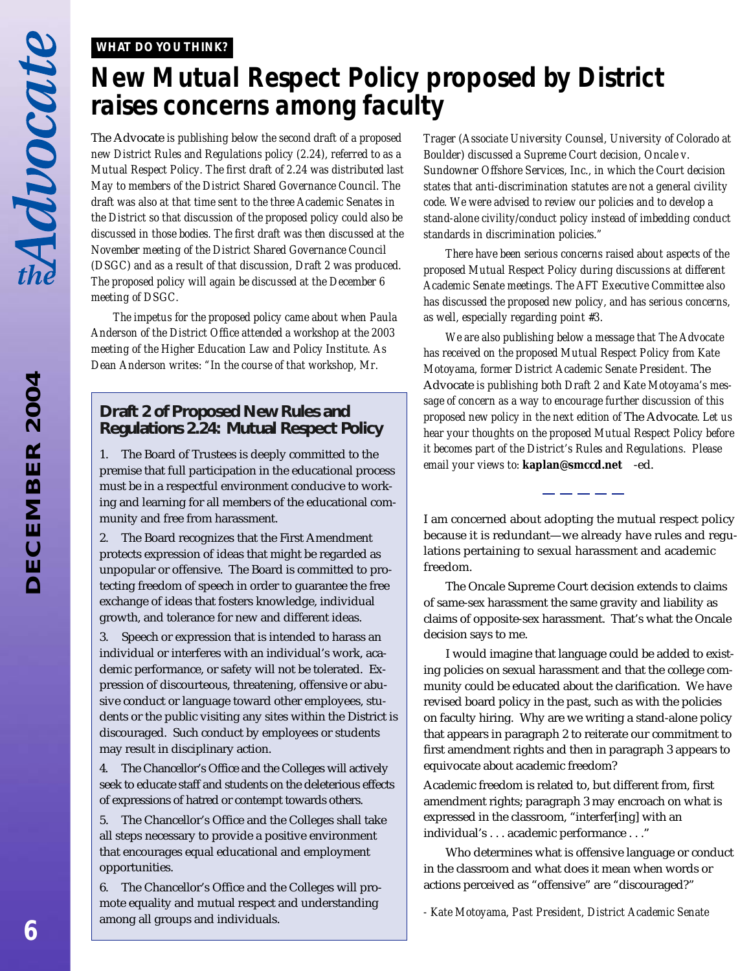#### *WHAT DO YOU THINK?*

# *New Mutual Respect Policy proposed by District raises concerns among faculty*

The Advocate *is publishing below the second draft of a proposed new District Rules and Regulations policy (2.24), referred to as a Mutual Respect Policy. The first draft of 2.24 was distributed last May to members of the District Shared Governance Council. The draft was also at that time sent to the three Academic Senates in the District so that discussion of the proposed policy could also be discussed in those bodies. The first draft was then discussed at the November meeting of the District Shared Governance Council (DSGC) and as a result of that discussion, Draft 2 was produced. The proposed policy will again be discussed at the December 6 meeting of DSGC.*

*The impetus for the proposed policy came about when Paula Anderson of the District Office attended a workshop at the 2003 meeting of the Higher Education Law and Policy Institute. As Dean Anderson writes: "In the course of that workshop, Mr.*

#### **Draft 2 of Proposed New Rules and Regulations 2.24: Mutual Respect Policy**

1. The Board of Trustees is deeply committed to the premise that full participation in the educational process must be in a respectful environment conducive to working and learning for all members of the educational community and free from harassment.

2. The Board recognizes that the First Amendment protects expression of ideas that might be regarded as unpopular or offensive. The Board is committed to protecting freedom of speech in order to guarantee the free exchange of ideas that fosters knowledge, individual growth, and tolerance for new and different ideas.

3. Speech or expression that is intended to harass an individual or interferes with an individual's work, academic performance, or safety will not be tolerated. Expression of discourteous, threatening, offensive or abusive conduct or language toward other employees, students or the public visiting any sites within the District is discouraged. Such conduct by employees or students may result in disciplinary action.

4. The Chancellor's Office and the Colleges will actively seek to educate staff and students on the deleterious effects of expressions of hatred or contempt towards others.

5. The Chancellor's Office and the Colleges shall take all steps necessary to provide a positive environment that encourages equal educational and employment opportunities.

6. The Chancellor's Office and the Colleges will promote equality and mutual respect and understanding among all groups and individuals.

*Trager (Associate University Counsel, University of Colorado at Boulder) discussed a Supreme Court decision, Oncale v. Sundowner Offshore Services, Inc., in which the Court decision states that anti-discrimination statutes are not a general civility code. We were advised to review our policies and to develop a stand-alone civility/conduct policy instead of imbedding conduct standards in discrimination policies."*

*There have been serious concerns raised about aspects of the proposed Mutual Respect Policy during discussions at different Academic Senate meetings. The AFT Executive Committee also has discussed the proposed new policy, and has serious concerns, as well, especially regarding point #3.*

*We are also publishing below a message that The Advocate has received on the proposed Mutual Respect Policy from Kate Motoyama, former District Academic Senate President.* The Advocate *is publishing both Draft 2 and Kate Motoyama's message of concern as a way to encourage further discussion of this proposed new policy in the next edition of* The Advocate*. Let us hear your thoughts on the proposed Mutual Respect Policy before it becomes part of the District's Rules and Regulations. Please email your views to:* **kaplan@smccd.net**-ed.

I am concerned about adopting the mutual respect policy because it is redundant—we already have rules and regulations pertaining to sexual harassment and academic freedom.

The Oncale Supreme Court decision extends to claims of same-sex harassment the same gravity and liability as claims of opposite-sex harassment. That's what the Oncale decision says to me.

I would imagine that language could be added to existing policies on sexual harassment and that the college community could be educated about the clarification. We have revised board policy in the past, such as with the policies on faculty hiring. Why are we writing a stand-alone policy that appears in paragraph 2 to reiterate our commitment to first amendment rights and then in paragraph 3 appears to equivocate about academic freedom?

Academic freedom is related to, but different from, first amendment rights; paragraph 3 may encroach on what is expressed in the classroom, "interfer[ing] with an individual's . . . academic performance . . ."

Who determines what is offensive language or conduct in the classroom and what does it mean when words or actions perceived as "offensive" are "discouraged?"

*- Kate Motoyama, Past President, District Academic Senate*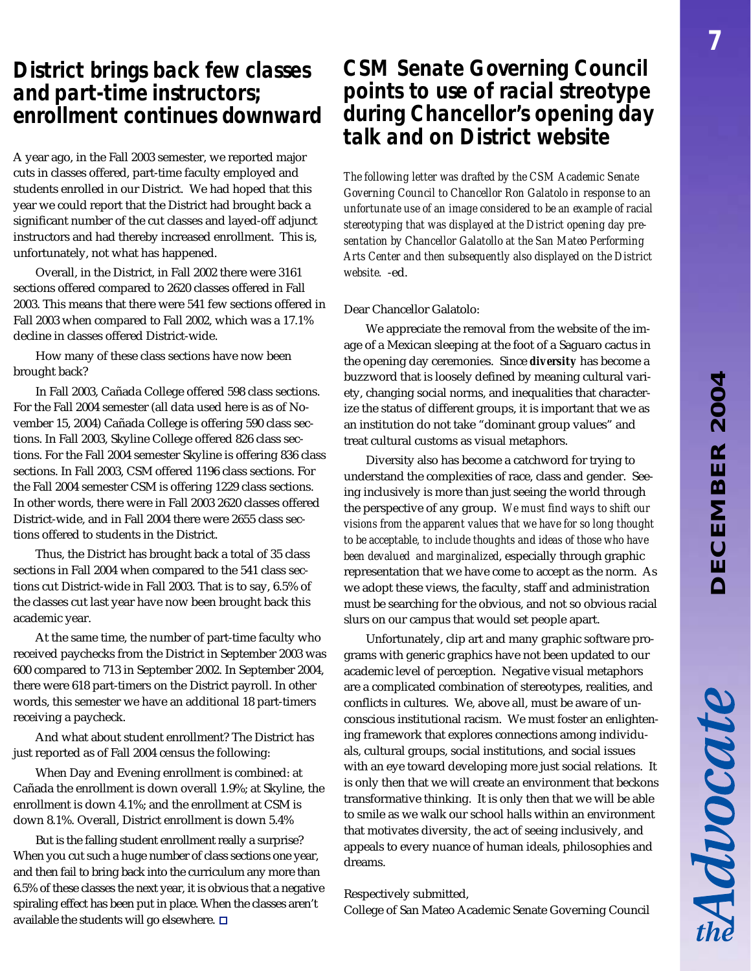# **DECEMBER 2004** *DECEMBER 2004*

Advocate

## *District brings back few classes and part-time instructors; enrollment continues downward*

A year ago, in the Fall 2003 semester, we reported major cuts in classes offered, part-time faculty employed and students enrolled in our District. We had hoped that this year we could report that the District had brought back a significant number of the cut classes and layed-off adjunct instructors and had thereby increased enrollment. This is, unfortunately, not what has happened.

Overall, in the District, in Fall 2002 there were 3161 sections offered compared to 2620 classes offered in Fall 2003. This means that there were 541 few sections offered in Fall 2003 when compared to Fall 2002, which was a 17.1% decline in classes offered District-wide.

How many of these class sections have now been brought back?

In Fall 2003, Cañada College offered 598 class sections. For the Fall 2004 semester (all data used here is as of November 15, 2004) Cañada College is offering 590 class sections. In Fall 2003, Skyline College offered 826 class sections. For the Fall 2004 semester Skyline is offering 836 class sections. In Fall 2003, CSM offered 1196 class sections. For the Fall 2004 semester CSM is offering 1229 class sections. In other words, there were in Fall 2003 2620 classes offered District-wide, and in Fall 2004 there were 2655 class sections offered to students in the District.

Thus, the District has brought back a total of 35 class sections in Fall 2004 when compared to the 541 class sections cut District-wide in Fall 2003. That is to say, 6.5% of the classes cut last year have now been brought back this academic year.

At the same time, the number of part-time faculty who received paychecks from the District in September 2003 was 600 compared to 713 in September 2002. In September 2004, there were 618 part-timers on the District payroll. In other words, this semester we have an additional 18 part-timers receiving a paycheck.

And what about student enrollment? The District has just reported as of Fall 2004 census the following:

When Day and Evening enrollment is combined: at Cañada the enrollment is down overall 1.9%; at Skyline, the enrollment is down 4.1%; and the enrollment at CSM is down 8.1%. Overall, District enrollment is down 5.4%

But is the falling student enrollment really a surprise? When you cut such a huge number of class sections one year, and then fail to bring back into the curriculum any more than 6.5% of these classes the next year, it is obvious that a negative spiraling effect has been put in place. When the classes aren't available the students will go elsewhere.  $\square$ 

## *CSM Senate Governing Council points to use of racial streotype during Chancellor's opening day talk and on District website*

*The following letter was drafted by the CSM Academic Senate Governing Council to Chancellor Ron Galatolo in response to an unfortunate use of an image considered to be an example of racial stereotyping that was displayed at the District opening day presentation by Chancellor Galatollo at the San Mateo Performing Arts Center and then subsequently also displayed on the District website.* -ed.

#### Dear Chancellor Galatolo:

We appreciate the removal from the website of the image of a Mexican sleeping at the foot of a Saguaro cactus in the opening day ceremonies. Since *diversity* has become a buzzword that is loosely defined by meaning cultural variety, changing social norms, and inequalities that characterize the status of different groups, it is important that we as an institution do not take "dominant group values" and treat cultural customs as visual metaphors.

Diversity also has become a catchword for trying to understand the complexities of race, class and gender. Seeing inclusively is more than just seeing the world through the perspective of any group. *We must find ways to shift our visions from the apparent values that we have for so long thought to be acceptable, to include thoughts and ideas of those who have been devalued and marginalized*, especially through graphic representation that we have come to accept as the norm. As we adopt these views, the faculty, staff and administration must be searching for the obvious, and not so obvious racial slurs on our campus that would set people apart.

Unfortunately, clip art and many graphic software programs with generic graphics have not been updated to our academic level of perception. Negative visual metaphors are a complicated combination of stereotypes, realities, and conflicts in cultures. We, above all, must be aware of unconscious institutional racism. We must foster an enlightening framework that explores connections among individuals, cultural groups, social institutions, and social issues with an eye toward developing more just social relations. It is only then that we will create an environment that beckons transformative thinking. It is only then that we will be able to smile as we walk our school halls within an environment that motivates diversity, the act of seeing inclusively, and appeals to every nuance of human ideals, philosophies and dreams.

#### Respectively submitted,

College of San Mateo Academic Senate Governing Council